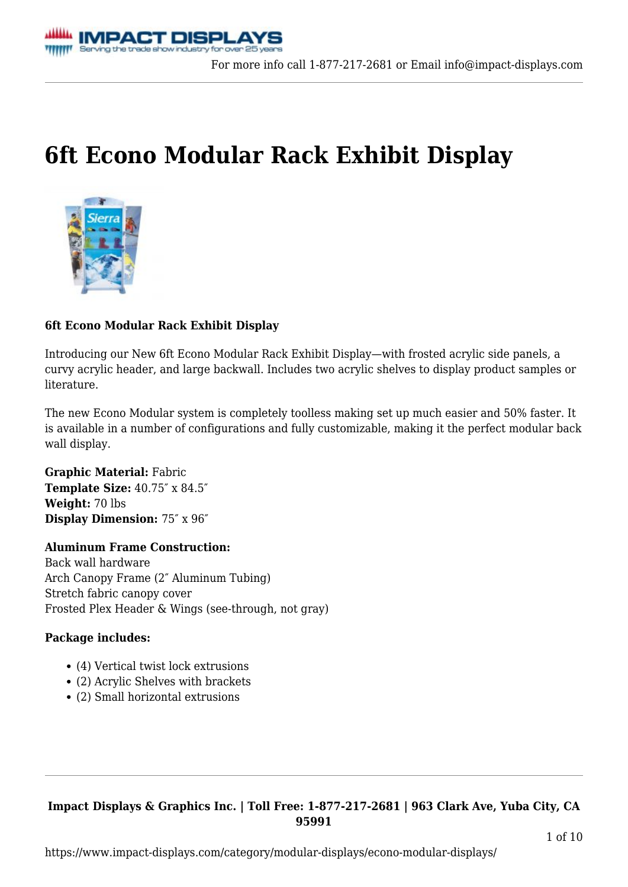# **[6ft Econo Modular Rack Exhibit Display](https://www.impact-displays.com/product/6ft-econo-modular-rack-display/)**



# **6ft Econo Modular Rack Exhibit Display**

Introducing our New 6ft Econo Modular Rack Exhibit Display—with frosted acrylic side panels, a curvy acrylic header, and large backwall. Includes two acrylic shelves to display product samples or literature.

The new Econo Modular system is completely toolless making set up much easier and 50% faster. It is available in a number of configurations and fully customizable, making it the perfect modular back wall display.

**Graphic Material:** Fabric **Template Size:** 40.75″ x 84.5″ **Weight:** 70 lbs **Display Dimension:** 75″ x 96″

# **Aluminum Frame Construction:**

Back wall hardware Arch Canopy Frame (2″ Aluminum Tubing) Stretch fabric canopy cover Frosted Plex Header & Wings (see-through, not gray)

### **Package includes:**

- (4) Vertical twist lock extrusions
- (2) Acrylic Shelves with brackets
- (2) Small horizontal extrusions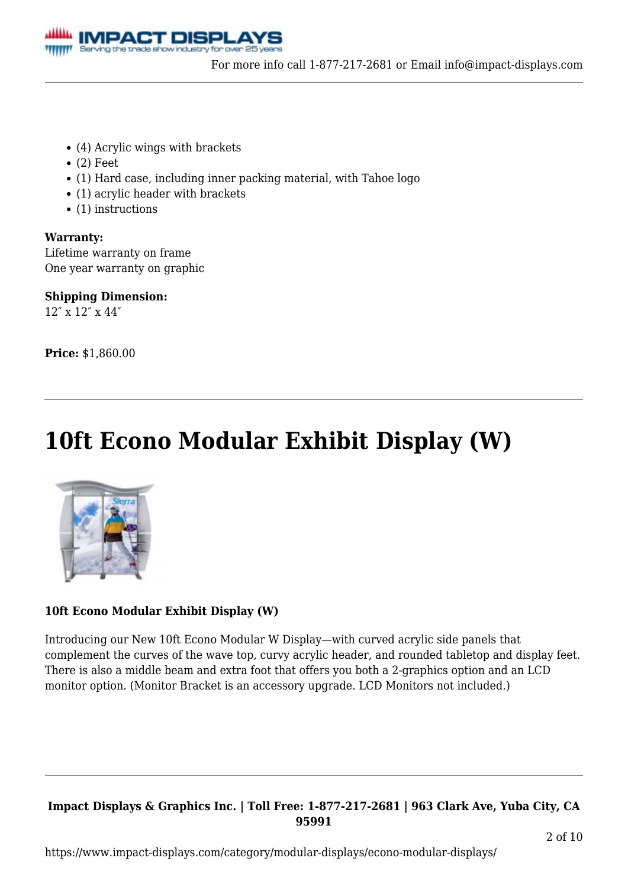

- (4) Acrylic wings with brackets
- $\bullet$  (2) Feet
- (1) Hard case, including inner packing material, with Tahoe logo
- (1) acrylic header with brackets
- $\bullet$  (1) instructions

### **Warranty:**

Lifetime warranty on frame One year warranty on graphic

**Shipping Dimension:**  $12''$  y  $12''$  y  $44''$ 

**Price:** \$1,860.00

# **[10ft Econo Modular Exhibit Display \(W\)](https://www.impact-displays.com/product/10ft-econo-modular-display-w/)**



# **10ft Econo Modular Exhibit Display (W)**

Introducing our New 10ft Econo Modular W Display—with curved acrylic side panels that complement the curves of the wave top, curvy acrylic header, and rounded tabletop and display feet. There is also a middle beam and extra foot that offers you both a 2-graphics option and an LCD monitor option. (Monitor Bracket is an accessory upgrade. LCD Monitors not included.)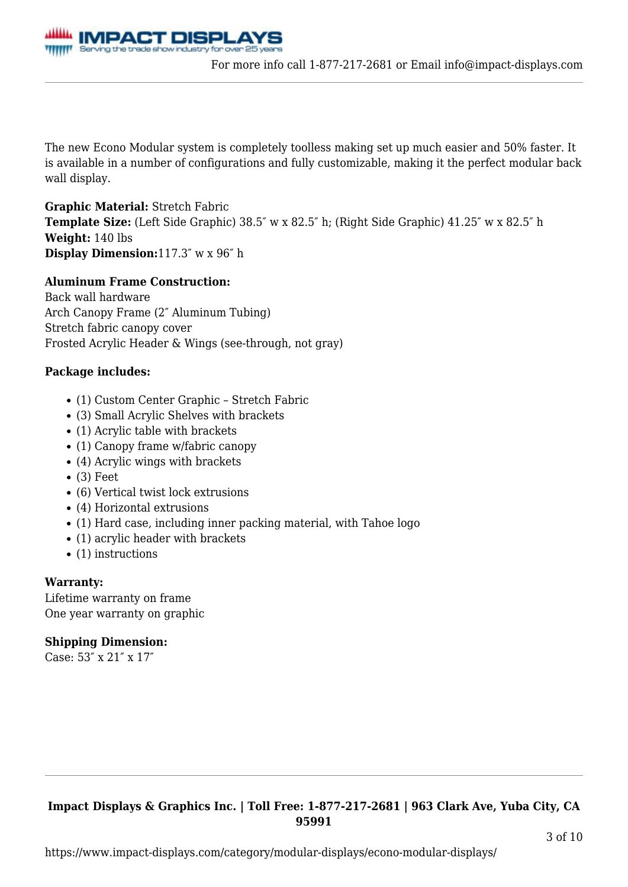

The new Econo Modular system is completely toolless making set up much easier and 50% faster. It is available in a number of configurations and fully customizable, making it the perfect modular back wall display.

### **Graphic Material:** Stretch Fabric

**Template Size:** (Left Side Graphic) 38.5″ w x 82.5″ h; (Right Side Graphic) 41.25″ w x 82.5″ h **Weight:** 140 lbs **Display Dimension:**117.3″ w x 96″ h

### **Aluminum Frame Construction:**

Back wall hardware Arch Canopy Frame (2″ Aluminum Tubing) Stretch fabric canopy cover Frosted Acrylic Header & Wings (see-through, not gray)

### **Package includes:**

- (1) Custom Center Graphic Stretch Fabric
- (3) Small Acrylic Shelves with brackets
- (1) Acrylic table with brackets
- (1) Canopy frame w/fabric canopy
- (4) Acrylic wings with brackets
- $\bullet$  (3) Feet
- (6) Vertical twist lock extrusions
- (4) Horizontal extrusions
- (1) Hard case, including inner packing material, with Tahoe logo
- (1) acrylic header with brackets
- $\bullet$  (1) instructions

### **Warranty:**

Lifetime warranty on frame One year warranty on graphic

# **Shipping Dimension:**

Case: 53″ x 21″ x 17″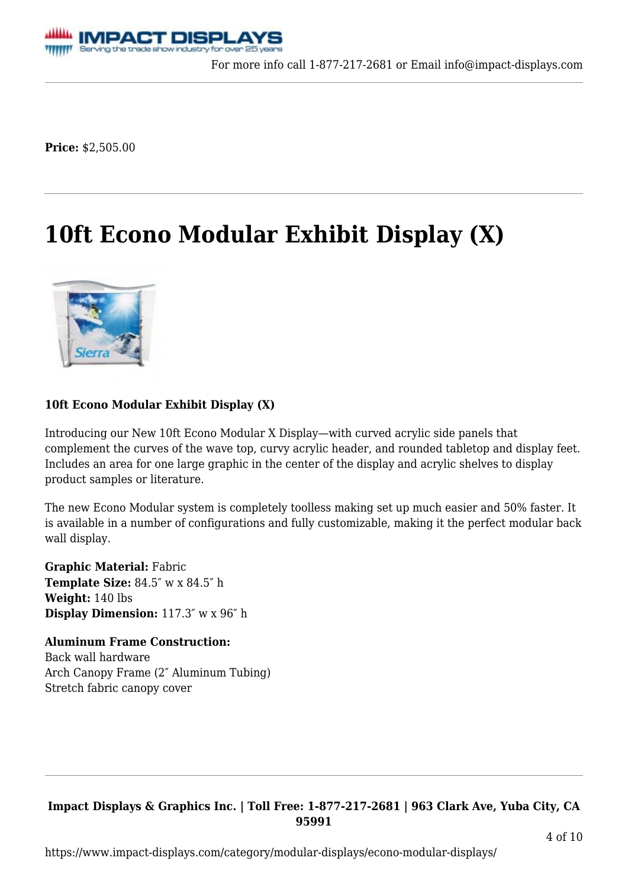

**Price:** \$2,505.00

# **[10ft Econo Modular Exhibit Display \(X\)](https://www.impact-displays.com/product/10ft-econo-modular-display/)**



### **10ft Econo Modular Exhibit Display (X)**

Introducing our New 10ft Econo Modular X Display—with curved acrylic side panels that complement the curves of the wave top, curvy acrylic header, and rounded tabletop and display feet. Includes an area for one large graphic in the center of the display and acrylic shelves to display product samples or literature.

The new Econo Modular system is completely toolless making set up much easier and 50% faster. It is available in a number of configurations and fully customizable, making it the perfect modular back wall display.

**Graphic Material:** Fabric **Template Size:** 84.5″ w x 84.5″ h **Weight:** 140 lbs **Display Dimension:** 117.3″ w x 96″ h

**Aluminum Frame Construction:** Back wall hardware Arch Canopy Frame (2″ Aluminum Tubing) Stretch fabric canopy cover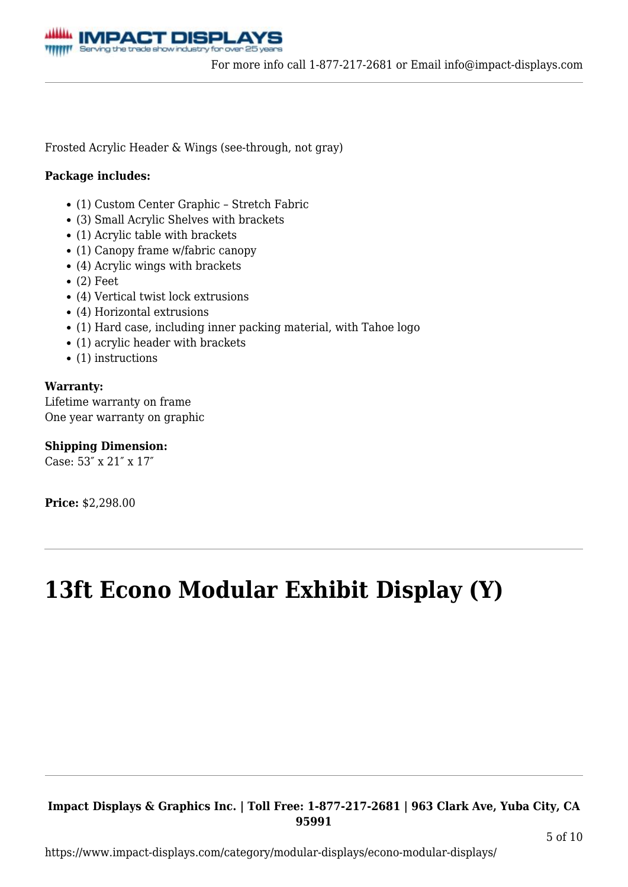

Frosted Acrylic Header & Wings (see-through, not gray)

#### **Package includes:**

- (1) Custom Center Graphic Stretch Fabric
- (3) Small Acrylic Shelves with brackets
- (1) Acrylic table with brackets
- (1) Canopy frame w/fabric canopy
- (4) Acrylic wings with brackets
- $\bullet$  (2) Feet
- (4) Vertical twist lock extrusions
- (4) Horizontal extrusions
- (1) Hard case, including inner packing material, with Tahoe logo
- (1) acrylic header with brackets
- $\bullet$  (1) instructions

#### **Warranty:**

Lifetime warranty on frame One year warranty on graphic

**Shipping Dimension:**

Case: 53″ x 21″ x 17″

**Price:** \$2,298.00

# **[13ft Econo Modular Exhibit Display \(Y\)](https://www.impact-displays.com/product/13ft-econo-modular-display/)**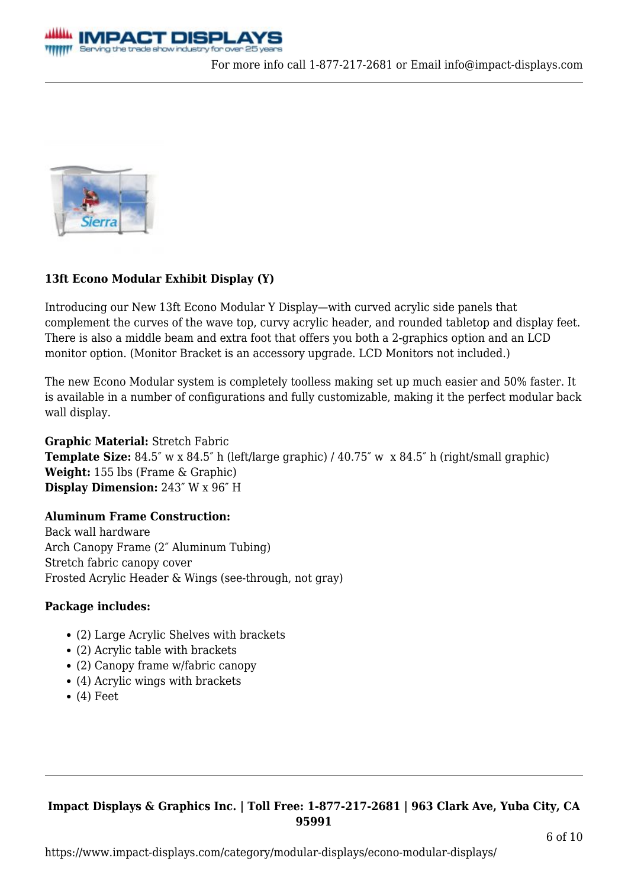



# **13ft Econo Modular Exhibit Display (Y)**

Introducing our New 13ft Econo Modular Y Display—with curved acrylic side panels that complement the curves of the wave top, curvy acrylic header, and rounded tabletop and display feet. There is also a middle beam and extra foot that offers you both a 2-graphics option and an LCD monitor option. (Monitor Bracket is an accessory upgrade. LCD Monitors not included.)

The new Econo Modular system is completely toolless making set up much easier and 50% faster. It is available in a number of configurations and fully customizable, making it the perfect modular back wall display.

**Graphic Material:** Stretch Fabric **Template Size:** 84.5″ w x 84.5″ h (left/large graphic) / 40.75″ w x 84.5″ h (right/small graphic) **Weight:** 155 lbs (Frame & Graphic) **Display Dimension:** 243″ W x 96″ H

# **Aluminum Frame Construction:**

Back wall hardware Arch Canopy Frame (2″ Aluminum Tubing) Stretch fabric canopy cover Frosted Acrylic Header & Wings (see-through, not gray)

### **Package includes:**

- (2) Large Acrylic Shelves with brackets
- (2) Acrylic table with brackets
- (2) Canopy frame w/fabric canopy
- (4) Acrylic wings with brackets
- $\bullet$  (4) Feet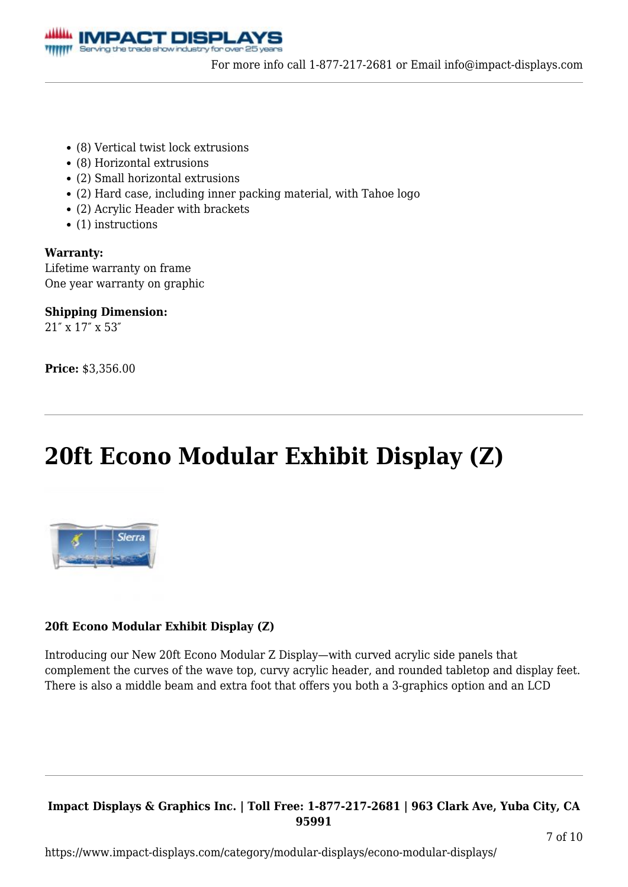

- (8) Vertical twist lock extrusions
- (8) Horizontal extrusions
- (2) Small horizontal extrusions
- (2) Hard case, including inner packing material, with Tahoe logo
- (2) Acrylic Header with brackets
- $\bullet$  (1) instructions

**Warranty:** Lifetime warranty on frame One year warranty on graphic

**Shipping Dimension:** 21″ x 17″ x 53″

**Price:** \$3,356.00

# **[20ft Econo Modular Exhibit Display \(Z\)](https://www.impact-displays.com/product/20ft-econo-modular-display/)**



# **20ft Econo Modular Exhibit Display (Z)**

Introducing our New 20ft Econo Modular Z Display—with curved acrylic side panels that complement the curves of the wave top, curvy acrylic header, and rounded tabletop and display feet. There is also a middle beam and extra foot that offers you both a 3-graphics option and an LCD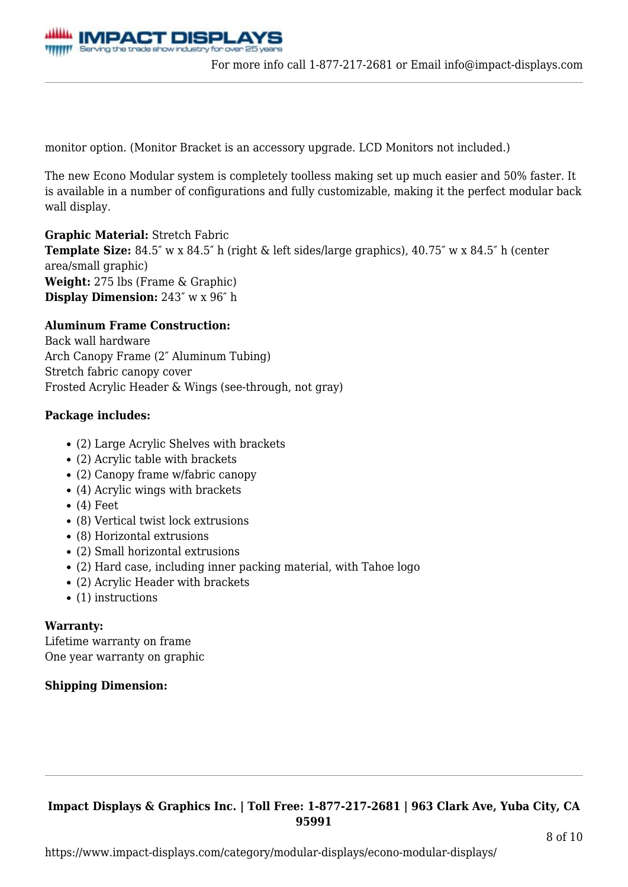

monitor option. (Monitor Bracket is an accessory upgrade. LCD Monitors not included.)

The new Econo Modular system is completely toolless making set up much easier and 50% faster. It is available in a number of configurations and fully customizable, making it the perfect modular back wall display.

**Graphic Material:** Stretch Fabric

**Template Size:** 84.5″ w x 84.5″ h (right & left sides/large graphics), 40.75″ w x 84.5″ h (center area/small graphic) **Weight:** 275 lbs (Frame & Graphic) **Display Dimension:** 243″ w x 96″ h

#### **Aluminum Frame Construction:**

Back wall hardware Arch Canopy Frame (2″ Aluminum Tubing) Stretch fabric canopy cover Frosted Acrylic Header & Wings (see-through, not gray)

#### **Package includes:**

- (2) Large Acrylic Shelves with brackets
- (2) Acrylic table with brackets
- (2) Canopy frame w/fabric canopy
- (4) Acrylic wings with brackets
- $\bullet$  (4) Feet
- (8) Vertical twist lock extrusions
- (8) Horizontal extrusions
- (2) Small horizontal extrusions
- (2) Hard case, including inner packing material, with Tahoe logo
- (2) Acrylic Header with brackets
- $\bullet$  (1) instructions

#### **Warranty:**

Lifetime warranty on frame One year warranty on graphic

### **Shipping Dimension:**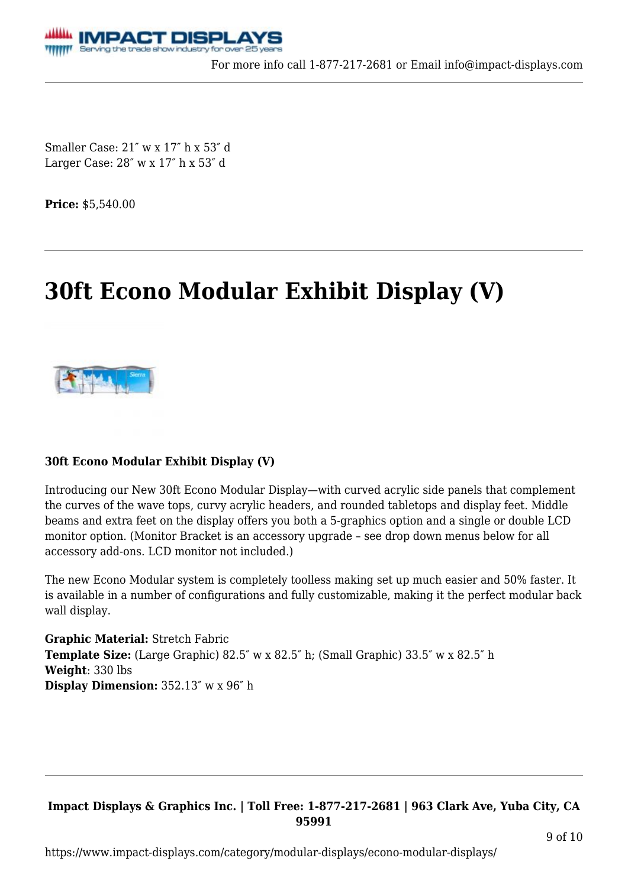

Smaller Case: 21″ w x 17″ h x 53″ d Larger Case: 28″ w x 17″ h x 53″ d

**Price:** \$5,540.00

# **[30ft Econo Modular Exhibit Display \(V\)](https://www.impact-displays.com/product/30ft-econo-modular-display/)**



### **30ft Econo Modular Exhibit Display (V)**

Introducing our New 30ft Econo Modular Display—with curved acrylic side panels that complement the curves of the wave tops, curvy acrylic headers, and rounded tabletops and display feet. Middle beams and extra feet on the display offers you both a 5-graphics option and a single or double LCD monitor option. (Monitor Bracket is an accessory upgrade – see drop down menus below for all accessory add-ons. LCD monitor not included.)

The new Econo Modular system is completely toolless making set up much easier and 50% faster. It is available in a number of configurations and fully customizable, making it the perfect modular back wall display.

**Graphic Material:** Stretch Fabric **Template Size:** (Large Graphic) 82.5″ w x 82.5″ h; (Small Graphic) 33.5″ w x 82.5″ h **Weight**: 330 lbs **Display Dimension:** 352.13″ w x 96″ h